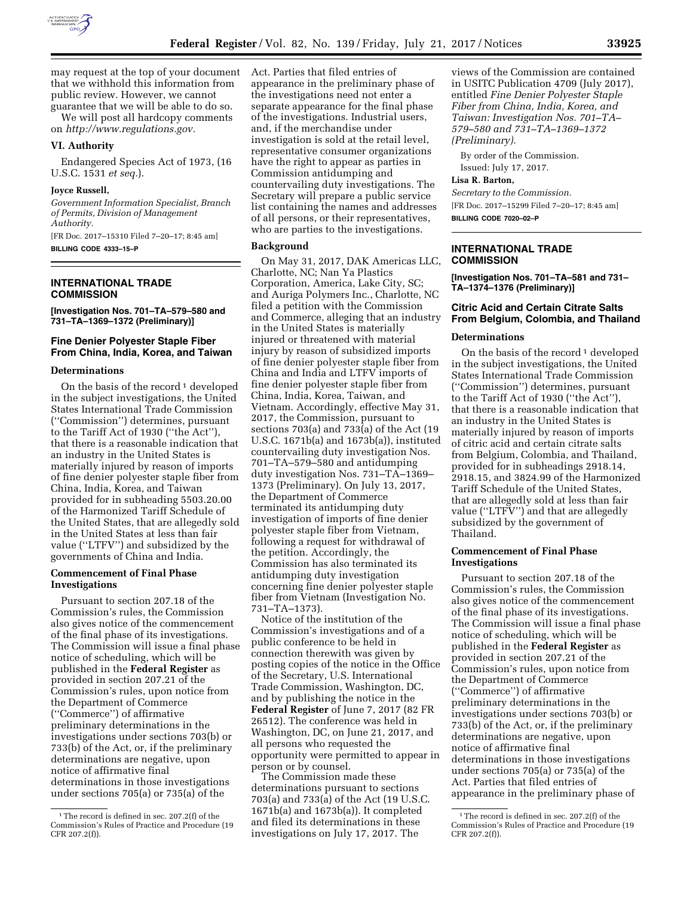

may request at the top of your document that we withhold this information from public review. However, we cannot guarantee that we will be able to do so.

We will post all hardcopy comments on *[http://www.regulations.gov.](http://www.regulations.gov)* 

#### **VI. Authority**

Endangered Species Act of 1973, (16 U.S.C. 1531 *et seq.*).

### **Joyce Russell,**

*Government Information Specialist, Branch of Permits, Division of Management Authority.* 

[FR Doc. 2017–15310 Filed 7–20–17; 8:45 am] **BILLING CODE 4333–15–P** 

### **INTERNATIONAL TRADE COMMISSION**

**[Investigation Nos. 701–TA–579–580 and 731–TA–1369–1372 (Preliminary)]** 

# **Fine Denier Polyester Staple Fiber From China, India, Korea, and Taiwan**

## **Determinations**

On the basis of the record<sup>1</sup> developed in the subject investigations, the United States International Trade Commission (''Commission'') determines, pursuant to the Tariff Act of 1930 (''the Act''), that there is a reasonable indication that an industry in the United States is materially injured by reason of imports of fine denier polyester staple fiber from China, India, Korea, and Taiwan provided for in subheading 5503.20.00 of the Harmonized Tariff Schedule of the United States, that are allegedly sold in the United States at less than fair value (''LTFV'') and subsidized by the governments of China and India.

### **Commencement of Final Phase Investigations**

Pursuant to section 207.18 of the Commission's rules, the Commission also gives notice of the commencement of the final phase of its investigations. The Commission will issue a final phase notice of scheduling, which will be published in the **Federal Register** as provided in section 207.21 of the Commission's rules, upon notice from the Department of Commerce (''Commerce'') of affirmative preliminary determinations in the investigations under sections 703(b) or 733(b) of the Act, or, if the preliminary determinations are negative, upon notice of affirmative final determinations in those investigations under sections 705(a) or 735(a) of the

Act. Parties that filed entries of appearance in the preliminary phase of the investigations need not enter a separate appearance for the final phase of the investigations. Industrial users, and, if the merchandise under investigation is sold at the retail level, representative consumer organizations have the right to appear as parties in Commission antidumping and countervailing duty investigations. The Secretary will prepare a public service list containing the names and addresses of all persons, or their representatives, who are parties to the investigations.

#### **Background**

On May 31, 2017, DAK Americas LLC, Charlotte, NC; Nan Ya Plastics Corporation, America, Lake City, SC; and Auriga Polymers Inc., Charlotte, NC filed a petition with the Commission and Commerce, alleging that an industry in the United States is materially injured or threatened with material injury by reason of subsidized imports of fine denier polyester staple fiber from China and India and LTFV imports of fine denier polyester staple fiber from China, India, Korea, Taiwan, and Vietnam. Accordingly, effective May 31, 2017, the Commission, pursuant to sections 703(a) and 733(a) of the Act (19 U.S.C. 1671b(a) and 1673b(a)), instituted countervailing duty investigation Nos. 701–TA–579–580 and antidumping duty investigation Nos. 731–TA–1369– 1373 (Preliminary). On July 13, 2017, the Department of Commerce terminated its antidumping duty investigation of imports of fine denier polyester staple fiber from Vietnam, following a request for withdrawal of the petition. Accordingly, the Commission has also terminated its antidumping duty investigation concerning fine denier polyester staple fiber from Vietnam (Investigation No. 731–TA–1373).

Notice of the institution of the Commission's investigations and of a public conference to be held in connection therewith was given by posting copies of the notice in the Office of the Secretary, U.S. International Trade Commission, Washington, DC, and by publishing the notice in the **Federal Register** of June 7, 2017 (82 FR 26512). The conference was held in Washington, DC, on June 21, 2017, and all persons who requested the opportunity were permitted to appear in person or by counsel.

The Commission made these determinations pursuant to sections 703(a) and 733(a) of the Act (19 U.S.C. 1671b(a) and 1673b(a)). It completed and filed its determinations in these investigations on July 17, 2017. The

views of the Commission are contained in USITC Publication 4709 (July 2017), entitled *Fine Denier Polyester Staple Fiber from China, India, Korea, and Taiwan: Investigation Nos. 701–TA– 579–580 and 731–TA–1369–1372 (Preliminary).* 

By order of the Commission. Issued: July 17, 2017.

#### **Lisa R. Barton,**

*Secretary to the Commission.*  [FR Doc. 2017–15299 Filed 7–20–17; 8:45 am] **BILLING CODE 7020–02–P** 

# **INTERNATIONAL TRADE COMMISSION**

**[Investigation Nos. 701–TA–581 and 731– TA–1374–1376 (Preliminary)]** 

# **Citric Acid and Certain Citrate Salts From Belgium, Colombia, and Thailand**

### **Determinations**

On the basis of the record<sup>1</sup> developed in the subject investigations, the United States International Trade Commission (''Commission'') determines, pursuant to the Tariff Act of 1930 (''the Act''), that there is a reasonable indication that an industry in the United States is materially injured by reason of imports of citric acid and certain citrate salts from Belgium, Colombia, and Thailand, provided for in subheadings 2918.14, 2918.15, and 3824.99 of the Harmonized Tariff Schedule of the United States, that are allegedly sold at less than fair value (''LTFV'') and that are allegedly subsidized by the government of Thailand.

### **Commencement of Final Phase Investigations**

Pursuant to section 207.18 of the Commission's rules, the Commission also gives notice of the commencement of the final phase of its investigations. The Commission will issue a final phase notice of scheduling, which will be published in the **Federal Register** as provided in section 207.21 of the Commission's rules, upon notice from the Department of Commerce (''Commerce'') of affirmative preliminary determinations in the investigations under sections 703(b) or 733(b) of the Act, or, if the preliminary determinations are negative, upon notice of affirmative final determinations in those investigations under sections 705(a) or 735(a) of the Act. Parties that filed entries of appearance in the preliminary phase of

 $^{\rm 1}$  The record is defined in sec. 207.2(f) of the Commission's Rules of Practice and Procedure (19 CFR 207.2(f)).

 $^{\rm 1}\!$  The record is defined in sec. 207.2(f) of the Commission's Rules of Practice and Procedure (19 CFR 207.2(f)).